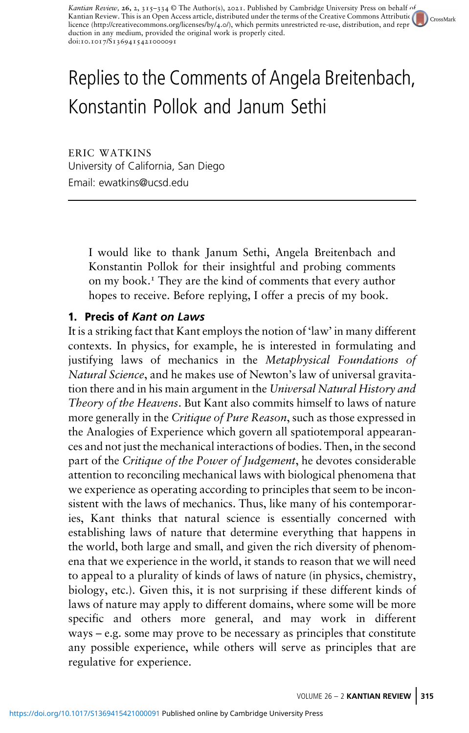Kantian Review, 26, 2, 315-334 © The Author(s), 2021. Published by Cambridge University Press on behalf of Kantian Review. This is an Open Access article, distributed under the terms of the Creative Comm[on](http://crossmark.crossref.org/dialog?doi=https://doi.org/10.1017/S1369415421000091&domain=pdf)s Attributio<br>licence ([http://creativecommons.org/licenses/by/](http://creativecommons.org/licenses/by/4.0/)4.0/), which permits unrestricted re-use, distribution, and rep  $\bigcap$  CrossMark duction in any medium, provided the original work is properly cited. doi:10.1017/S1369415421000091

# Replies to the Comments of Angela Breitenbach, Konstantin Pollok and Janum Sethi

ERIC WATKINS University of California, San Diego Email: [ewatkins@ucsd.edu](mailto:ewatkins@ucsd.edu)

> I would like to thank Janum Sethi, Angela Breitenbach and Konstantin Pollok for their insightful and probing comments on my book.<sup>1</sup> They are the kind of comments that every author hopes to receive. Before replying, I offer a precis of my book.

# 1. Precis of Kant on Laws

It is a striking fact that Kant employs the notion of 'law' in many different contexts. In physics, for example, he is interested in formulating and justifying laws of mechanics in the Metaphysical Foundations of Natural Science, and he makes use of Newton's law of universal gravitation there and in his main argument in the Universal Natural History and Theory of the Heavens. But Kant also commits himself to laws of nature more generally in the Critique of Pure Reason, such as those expressed in the Analogies of Experience which govern all spatiotemporal appearances and not just the mechanical interactions of bodies. Then, in the second part of the Critique of the Power of Judgement, he devotes considerable attention to reconciling mechanical laws with biological phenomena that we experience as operating according to principles that seem to be inconsistent with the laws of mechanics. Thus, like many of his contemporaries, Kant thinks that natural science is essentially concerned with establishing laws of nature that determine everything that happens in the world, both large and small, and given the rich diversity of phenomena that we experience in the world, it stands to reason that we will need to appeal to a plurality of kinds of laws of nature (in physics, chemistry, biology, etc.). Given this, it is not surprising if these different kinds of laws of nature may apply to different domains, where some will be more specific and others more general, and may work in different ways – e.g. some may prove to be necessary as principles that constitute any possible experience, while others will serve as principles that are regulative for experience.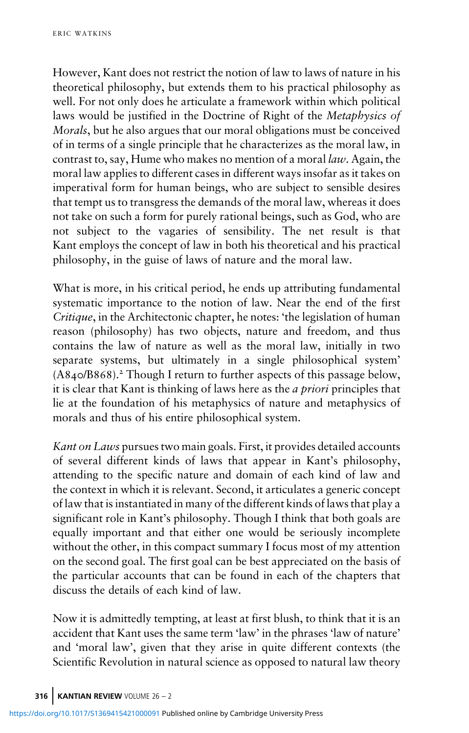However, Kant does not restrict the notion of law to laws of nature in his theoretical philosophy, but extends them to his practical philosophy as well. For not only does he articulate a framework within which political laws would be justified in the Doctrine of Right of the *Metaphysics of* Morals, but he also argues that our moral obligations must be conceived of in terms of a single principle that he characterizes as the moral law, in contrast to, say, Hume who makes no mention of a moral law. Again, the moral law applies to different cases in different ways insofar as it takes on imperatival form for human beings, who are subject to sensible desires that tempt us to transgress the demands of the moral law, whereas it does not take on such a form for purely rational beings, such as God, who are not subject to the vagaries of sensibility. The net result is that Kant employs the concept of law in both his theoretical and his practical philosophy, in the guise of laws of nature and the moral law.

What is more, in his critical period, he ends up attributing fundamental systematic importance to the notion of law. Near the end of the first Critique, in the Architectonic chapter, he notes: 'the legislation of human reason (philosophy) has two objects, nature and freedom, and thus contains the law of nature as well as the moral law, initially in two separate systems, but ultimately in a single philosophical system'  $(A840/B868).$ <sup>2</sup> Though I return to further aspects of this passage below, it is clear that Kant is thinking of laws here as the a priori principles that lie at the foundation of his metaphysics of nature and metaphysics of morals and thus of his entire philosophical system.

Kant on Laws pursues two main goals. First, it provides detailed accounts of several different kinds of laws that appear in Kant's philosophy, attending to the specific nature and domain of each kind of law and the context in which it is relevant. Second, it articulates a generic concept of law that is instantiated in many of the different kinds of laws that play a significant role in Kant's philosophy. Though I think that both goals are equally important and that either one would be seriously incomplete without the other, in this compact summary I focus most of my attention on the second goal. The first goal can be best appreciated on the basis of the particular accounts that can be found in each of the chapters that discuss the details of each kind of law.

Now it is admittedly tempting, at least at first blush, to think that it is an accident that Kant uses the same term 'law' in the phrases 'law of nature' and 'moral law', given that they arise in quite different contexts (the Scientific Revolution in natural science as opposed to natural law theory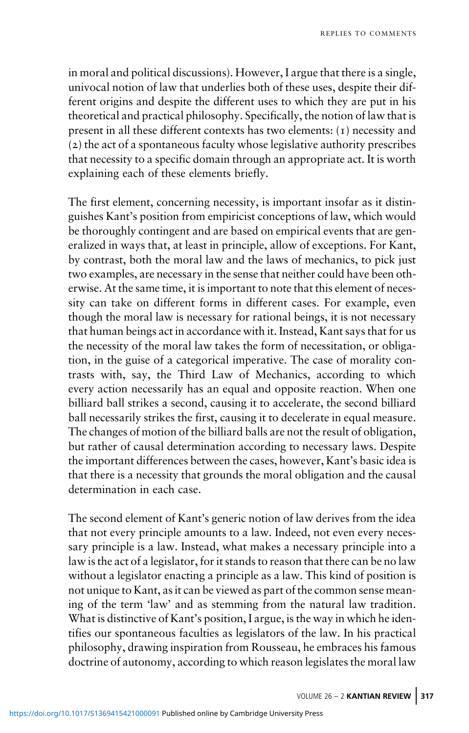in moral and political discussions). However, I argue that there is a single, univocal notion of law that underlies both of these uses, despite their different origins and despite the different uses to which they are put in his theoretical and practical philosophy. Specifically, the notion of law that is present in all these different contexts has two elements:  $(i)$  necessity and  $(z)$  the act of a spontaneous faculty whose legislative authority prescribes that necessity to a specific domain through an appropriate act. It is worth explaining each of these elements briefly.

The first element, concerning necessity, is important insofar as it distinguishes Kant's position from empiricist conceptions of law, which would be thoroughly contingent and are based on empirical events that are generalized in ways that, at least in principle, allow of exceptions. For Kant, by contrast, both the moral law and the laws of mechanics, to pick just two examples, are necessary in the sense that neither could have been otherwise. At the same time, it is important to note that this element of necessity can take on different forms in different cases. For example, even though the moral law is necessary for rational beings, it is not necessary that human beings act in accordance with it. Instead, Kant says that for us the necessity of the moral law takes the form of necessitation, or obligation, in the guise of a categorical imperative. The case of morality contrasts with, say, the Third Law of Mechanics, according to which every action necessarily has an equal and opposite reaction. When one billiard ball strikes a second, causing it to accelerate, the second billiard ball necessarily strikes the first, causing it to decelerate in equal measure. The changes of motion of the billiard balls are not the result of obligation, but rather of causal determination according to necessary laws. Despite the important differences between the cases, however, Kant's basic idea is that there is a necessity that grounds the moral obligation and the causal determination in each case.

The second element of Kant's generic notion of law derives from the idea that not every principle amounts to a law. Indeed, not even every necessary principle is a law. Instead, what makes a necessary principle into a law is the act of a legislator, for it stands to reason that there can be no law without a legislator enacting a principle as a law. This kind of position is not unique to Kant, as it can be viewed as part of the common sense meaning of the term 'law' and as stemming from the natural law tradition. What is distinctive of Kant's position, I argue, is the way in which he identifies our spontaneous faculties as legislators of the law. In his practical philosophy, drawing inspiration from Rousseau, he embraces his famous doctrine of autonomy, according to which reason legislates the moral law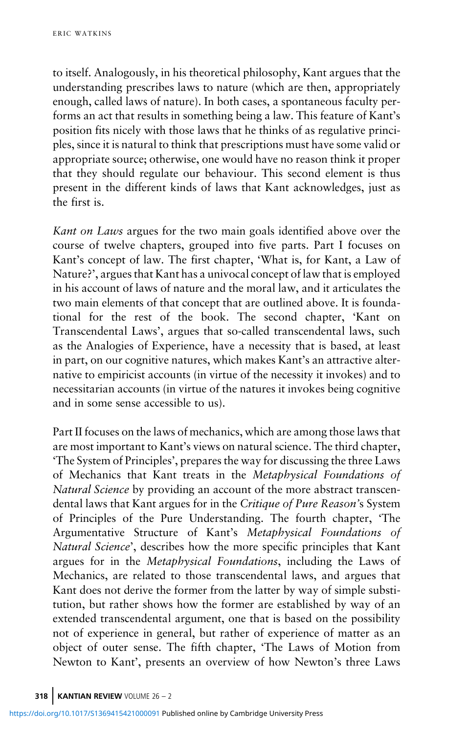to itself. Analogously, in his theoretical philosophy, Kant argues that the understanding prescribes laws to nature (which are then, appropriately enough, called laws of nature). In both cases, a spontaneous faculty performs an act that results in something being a law. This feature of Kant's position fits nicely with those laws that he thinks of as regulative principles, since it is natural to think that prescriptions must have some valid or appropriate source; otherwise, one would have no reason think it proper that they should regulate our behaviour. This second element is thus present in the different kinds of laws that Kant acknowledges, just as the first is.

Kant on Laws argues for the two main goals identified above over the course of twelve chapters, grouped into five parts. Part I focuses on Kant's concept of law. The first chapter, 'What is, for Kant, a Law of Nature?', argues that Kant has a univocal concept of law that is employed in his account of laws of nature and the moral law, and it articulates the two main elements of that concept that are outlined above. It is foundational for the rest of the book. The second chapter, 'Kant on Transcendental Laws', argues that so-called transcendental laws, such as the Analogies of Experience, have a necessity that is based, at least in part, on our cognitive natures, which makes Kant's an attractive alternative to empiricist accounts (in virtue of the necessity it invokes) and to necessitarian accounts (in virtue of the natures it invokes being cognitive and in some sense accessible to us).

Part II focuses on the laws of mechanics, which are among those laws that are most important to Kant's views on natural science. The third chapter, 'The System of Principles', prepares the way for discussing the three Laws of Mechanics that Kant treats in the Metaphysical Foundations of Natural Science by providing an account of the more abstract transcendental laws that Kant argues for in the Critique of Pure Reason's System of Principles of the Pure Understanding. The fourth chapter, 'The Argumentative Structure of Kant's Metaphysical Foundations of Natural Science', describes how the more specific principles that Kant argues for in the Metaphysical Foundations, including the Laws of Mechanics, are related to those transcendental laws, and argues that Kant does not derive the former from the latter by way of simple substitution, but rather shows how the former are established by way of an extended transcendental argument, one that is based on the possibility not of experience in general, but rather of experience of matter as an object of outer sense. The fifth chapter, 'The Laws of Motion from Newton to Kant', presents an overview of how Newton's three Laws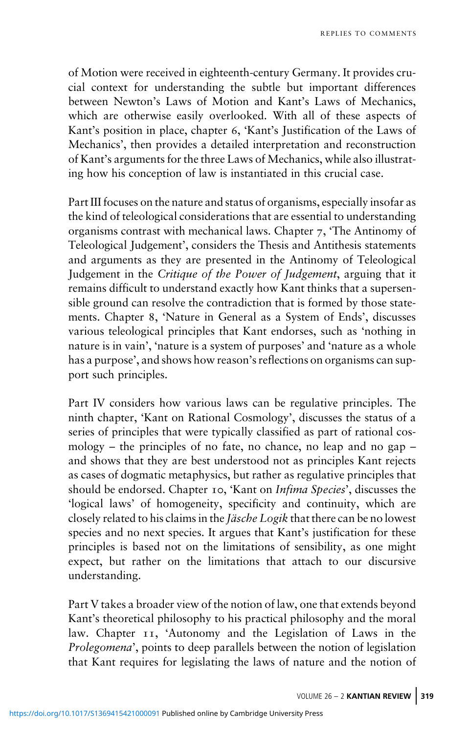of Motion were received in eighteenth-century Germany. It provides crucial context for understanding the subtle but important differences between Newton's Laws of Motion and Kant's Laws of Mechanics, which are otherwise easily overlooked. With all of these aspects of Kant's position in place, chapter 6, 'Kant's Justification of the Laws of Mechanics', then provides a detailed interpretation and reconstruction of Kant's arguments for the three Laws of Mechanics, while also illustrating how his conception of law is instantiated in this crucial case.

Part III focuses on the nature and status of organisms, especially insofar as the kind of teleological considerations that are essential to understanding organisms contrast with mechanical laws. Chapter  $7$ , 'The Antinomy of Teleological Judgement', considers the Thesis and Antithesis statements and arguments as they are presented in the Antinomy of Teleological Judgement in the Critique of the Power of Judgement, arguing that it remains difficult to understand exactly how Kant thinks that a supersensible ground can resolve the contradiction that is formed by those statements. Chapter 8, 'Nature in General as a System of Ends', discusses various teleological principles that Kant endorses, such as 'nothing in nature is in vain', 'nature is a system of purposes' and 'nature as a whole has a purpose', and shows how reason's reflections on organisms can support such principles.

Part IV considers how various laws can be regulative principles. The ninth chapter, 'Kant on Rational Cosmology', discusses the status of a series of principles that were typically classified as part of rational cosmology – the principles of no fate, no chance, no leap and no gap – and shows that they are best understood not as principles Kant rejects as cases of dogmatic metaphysics, but rather as regulative principles that should be endorsed. Chapter 10, 'Kant on Infima Species', discusses the 'logical laws' of homogeneity, specificity and continuity, which are closely related to his claims in the Jäsche Logik that there can be no lowest species and no next species. It argues that Kant's justification for these principles is based not on the limitations of sensibility, as one might expect, but rather on the limitations that attach to our discursive understanding.

Part V takes a broader view of the notion of law, one that extends beyond Kant's theoretical philosophy to his practical philosophy and the moral law. Chapter 11, 'Autonomy and the Legislation of Laws in the Prolegomena', points to deep parallels between the notion of legislation that Kant requires for legislating the laws of nature and the notion of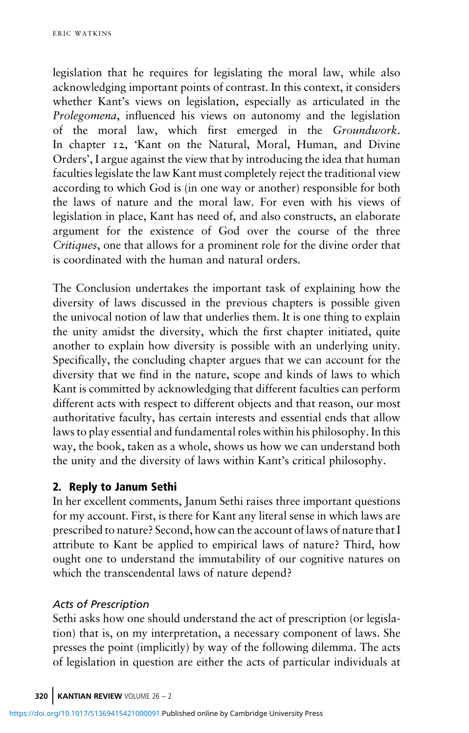legislation that he requires for legislating the moral law, while also acknowledging important points of contrast. In this context, it considers whether Kant's views on legislation, especially as articulated in the Prolegomena, influenced his views on autonomy and the legislation of the moral law, which first emerged in the Groundwork. In chapter 12, 'Kant on the Natural, Moral, Human, and Divine Orders', I argue against the view that by introducing the idea that human faculties legislate the law Kant must completely reject the traditional view according to which God is (in one way or another) responsible for both the laws of nature and the moral law. For even with his views of legislation in place, Kant has need of, and also constructs, an elaborate argument for the existence of God over the course of the three Critiques, one that allows for a prominent role for the divine order that is coordinated with the human and natural orders.

The Conclusion undertakes the important task of explaining how the diversity of laws discussed in the previous chapters is possible given the univocal notion of law that underlies them. It is one thing to explain the unity amidst the diversity, which the first chapter initiated, quite another to explain how diversity is possible with an underlying unity. Specifically, the concluding chapter argues that we can account for the diversity that we find in the nature, scope and kinds of laws to which Kant is committed by acknowledging that different faculties can perform different acts with respect to different objects and that reason, our most authoritative faculty, has certain interests and essential ends that allow laws to play essential and fundamental roles within his philosophy. In this way, the book, taken as a whole, shows us how we can understand both the unity and the diversity of laws within Kant's critical philosophy.

In her excellent comments, Janum Sethi raises three important questions for my account. First, is there for Kant any literal sense in which laws are prescribed to nature? Second, how can the account of laws of nature that I attribute to Kant be applied to empirical laws of nature? Third, how ought one to understand the immutability of our cognitive natures on which the transcendental laws of nature depend?

### Acts of Prescription

Sethi asks how one should understand the act of prescription (or legislation) that is, on my interpretation, a necessary component of laws. She presses the point (implicitly) by way of the following dilemma. The acts of legislation in question are either the acts of particular individuals at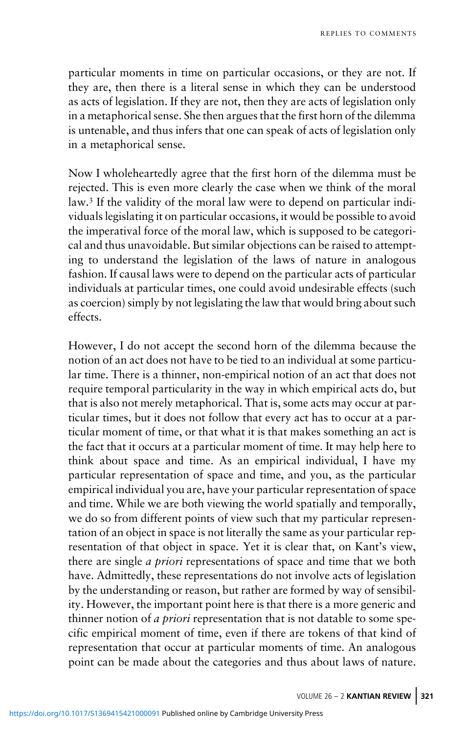particular moments in time on particular occasions, or they are not. If they are, then there is a literal sense in which they can be understood as acts of legislation. If they are not, then they are acts of legislation only in a metaphorical sense. She then argues that the first horn of the dilemma is untenable, and thus infers that one can speak of acts of legislation only in a metaphorical sense.

Now I wholeheartedly agree that the first horn of the dilemma must be rejected. This is even more clearly the case when we think of the moral law.<sup>3</sup> If the validity of the moral law were to depend on particular individuals legislating it on particular occasions, it would be possible to avoid the imperatival force of the moral law, which is supposed to be categorical and thus unavoidable. But similar objections can be raised to attempting to understand the legislation of the laws of nature in analogous fashion. If causal laws were to depend on the particular acts of particular individuals at particular times, one could avoid undesirable effects (such as coercion) simply by not legislating the law that would bring about such effects.

However, I do not accept the second horn of the dilemma because the notion of an act does not have to be tied to an individual at some particular time. There is a thinner, non-empirical notion of an act that does not require temporal particularity in the way in which empirical acts do, but that is also not merely metaphorical. That is, some acts may occur at particular times, but it does not follow that every act has to occur at a particular moment of time, or that what it is that makes something an act is the fact that it occurs at a particular moment of time. It may help here to think about space and time. As an empirical individual, I have my particular representation of space and time, and you, as the particular empirical individual you are, have your particular representation of space and time. While we are both viewing the world spatially and temporally, we do so from different points of view such that my particular representation of an object in space is not literally the same as your particular representation of that object in space. Yet it is clear that, on Kant's view, there are single a priori representations of space and time that we both have. Admittedly, these representations do not involve acts of legislation by the understanding or reason, but rather are formed by way of sensibility. However, the important point here is that there is a more generic and thinner notion of *a priori* representation that is not datable to some specific empirical moment of time, even if there are tokens of that kind of representation that occur at particular moments of time. An analogous point can be made about the categories and thus about laws of nature.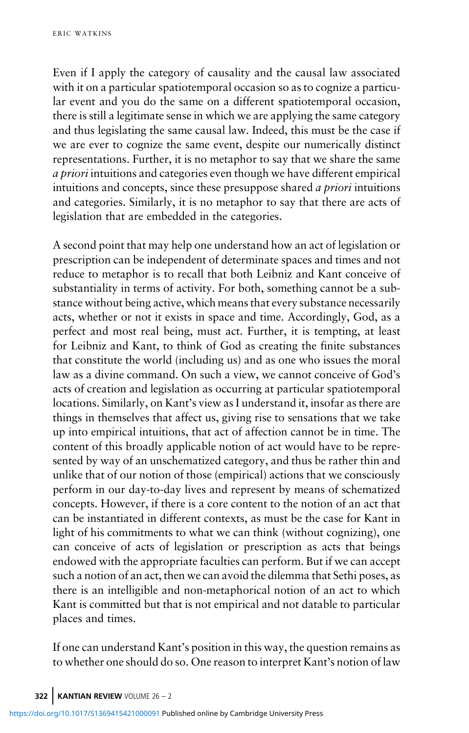Even if I apply the category of causality and the causal law associated with it on a particular spatiotemporal occasion so as to cognize a particular event and you do the same on a different spatiotemporal occasion, there is still a legitimate sense in which we are applying the same category and thus legislating the same causal law. Indeed, this must be the case if we are ever to cognize the same event, despite our numerically distinct representations. Further, it is no metaphor to say that we share the same a priori intuitions and categories even though we have different empirical intuitions and concepts, since these presuppose shared a priori intuitions and categories. Similarly, it is no metaphor to say that there are acts of legislation that are embedded in the categories.

A second point that may help one understand how an act of legislation or prescription can be independent of determinate spaces and times and not reduce to metaphor is to recall that both Leibniz and Kant conceive of substantiality in terms of activity. For both, something cannot be a substance without being active, which means that every substance necessarily acts, whether or not it exists in space and time. Accordingly, God, as a perfect and most real being, must act. Further, it is tempting, at least for Leibniz and Kant, to think of God as creating the finite substances that constitute the world (including us) and as one who issues the moral law as a divine command. On such a view, we cannot conceive of God's acts of creation and legislation as occurring at particular spatiotemporal locations. Similarly, on Kant's view as I understand it, insofar as there are things in themselves that affect us, giving rise to sensations that we take up into empirical intuitions, that act of affection cannot be in time. The content of this broadly applicable notion of act would have to be represented by way of an unschematized category, and thus be rather thin and unlike that of our notion of those (empirical) actions that we consciously perform in our day-to-day lives and represent by means of schematized concepts. However, if there is a core content to the notion of an act that can be instantiated in different contexts, as must be the case for Kant in light of his commitments to what we can think (without cognizing), one can conceive of acts of legislation or prescription as acts that beings endowed with the appropriate faculties can perform. But if we can accept such a notion of an act, then we can avoid the dilemma that Sethi poses, as there is an intelligible and non-metaphorical notion of an act to which Kant is committed but that is not empirical and not datable to particular places and times.

If one can understand Kant's position in this way, the question remains as to whether one should do so. One reason to interpret Kant's notion of law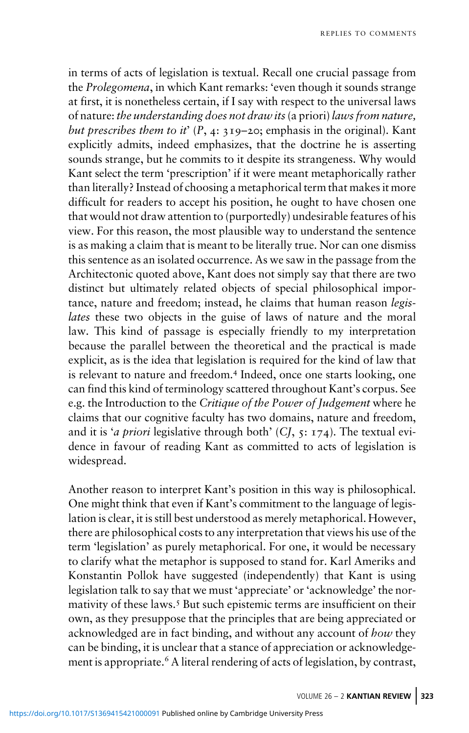in terms of acts of legislation is textual. Recall one crucial passage from the Prolegomena, in which Kant remarks: 'even though it sounds strange at first, it is nonetheless certain, if I say with respect to the universal laws of nature: the understanding does not draw its(a priori) laws from nature, but prescribes them to it'  $(P, 4: 319-20;$  emphasis in the original). Kant explicitly admits, indeed emphasizes, that the doctrine he is asserting sounds strange, but he commits to it despite its strangeness. Why would Kant select the term 'prescription' if it were meant metaphorically rather than literally? Instead of choosing a metaphorical term that makes it more difficult for readers to accept his position, he ought to have chosen one that would not draw attention to (purportedly) undesirable features of his view. For this reason, the most plausible way to understand the sentence is as making a claim that is meant to be literally true. Nor can one dismiss this sentence as an isolated occurrence. As we saw in the passage from the Architectonic quoted above, Kant does not simply say that there are two distinct but ultimately related objects of special philosophical importance, nature and freedom; instead, he claims that human reason legislates these two objects in the guise of laws of nature and the moral law. This kind of passage is especially friendly to my interpretation because the parallel between the theoretical and the practical is made explicit, as is the idea that legislation is required for the kind of law that is relevant to nature and freedom.<sup>4</sup> Indeed, once one starts looking, one can find this kind of terminology scattered throughout Kant's corpus. See e.g. the Introduction to the Critique of the Power of Judgement where he claims that our cognitive faculty has two domains, nature and freedom, and it is 'a priori legislative through both'  $(CJ, 5: 174)$ . The textual evidence in favour of reading Kant as committed to acts of legislation is widespread.

Another reason to interpret Kant's position in this way is philosophical. One might think that even if Kant's commitment to the language of legislation is clear, it is still best understood as merely metaphorical. However, there are philosophical costs to any interpretation that views his use of the term 'legislation' as purely metaphorical. For one, it would be necessary to clarify what the metaphor is supposed to stand for. Karl Ameriks and Konstantin Pollok have suggested (independently) that Kant is using legislation talk to say that we must 'appreciate' or 'acknowledge' the normativity of these laws.<sup>5</sup> But such epistemic terms are insufficient on their own, as they presuppose that the principles that are being appreciated or acknowledged are in fact binding, and without any account of how they can be binding, it is unclear that a stance of appreciation or acknowledgement is appropriate.<sup>6</sup> A literal rendering of acts of legislation, by contrast,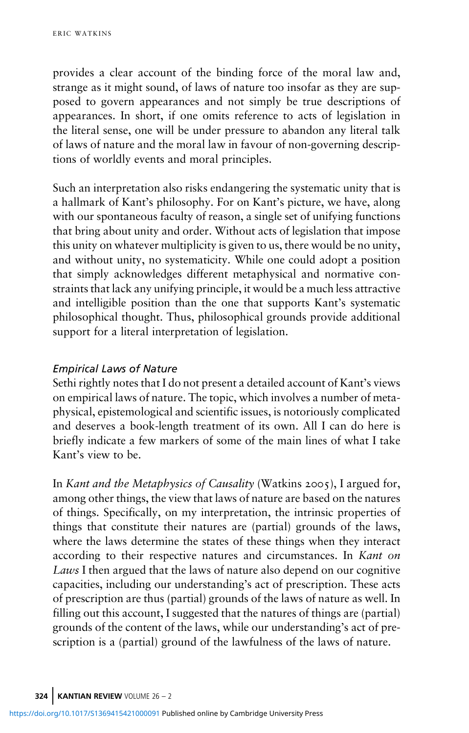provides a clear account of the binding force of the moral law and, strange as it might sound, of laws of nature too insofar as they are supposed to govern appearances and not simply be true descriptions of appearances. In short, if one omits reference to acts of legislation in the literal sense, one will be under pressure to abandon any literal talk of laws of nature and the moral law in favour of non-governing descriptions of worldly events and moral principles.

Such an interpretation also risks endangering the systematic unity that is a hallmark of Kant's philosophy. For on Kant's picture, we have, along with our spontaneous faculty of reason, a single set of unifying functions that bring about unity and order. Without acts of legislation that impose this unity on whatever multiplicity is given to us, there would be no unity, and without unity, no systematicity. While one could adopt a position that simply acknowledges different metaphysical and normative constraints that lack any unifying principle, it would be a much less attractive and intelligible position than the one that supports Kant's systematic philosophical thought. Thus, philosophical grounds provide additional support for a literal interpretation of legislation.

## Empirical Laws of Nature

Sethi rightly notes that I do not present a detailed account of Kant's views on empirical laws of nature. The topic, which involves a number of metaphysical, epistemological and scientific issues, is notoriously complicated and deserves a book-length treatment of its own. All I can do here is briefly indicate a few markers of some of the main lines of what I take Kant's view to be.

In Kant and the Metaphysics of Causality (Watkins 2005), I argued for, among other things, the view that laws of nature are based on the natures of things. Specifically, on my interpretation, the intrinsic properties of things that constitute their natures are (partial) grounds of the laws, where the laws determine the states of these things when they interact according to their respective natures and circumstances. In Kant on Laws I then argued that the laws of nature also depend on our cognitive capacities, including our understanding's act of prescription. These acts of prescription are thus (partial) grounds of the laws of nature as well. In filling out this account, I suggested that the natures of things are (partial) grounds of the content of the laws, while our understanding's act of prescription is a (partial) ground of the lawfulness of the laws of nature.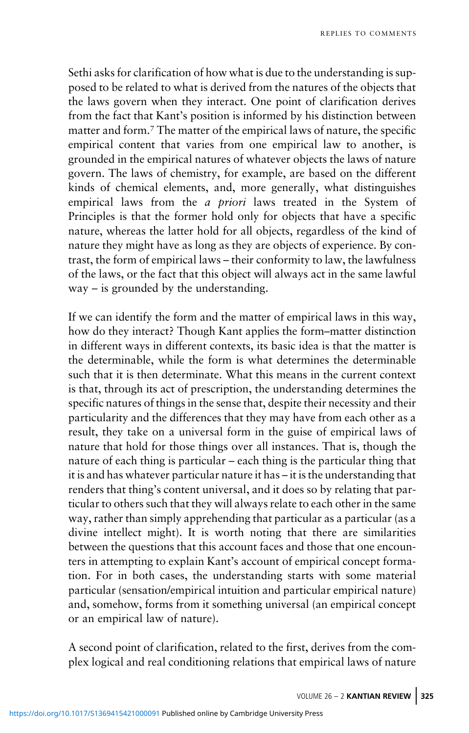Sethi asks for clarification of how what is due to the understanding is supposed to be related to what is derived from the natures of the objects that the laws govern when they interact. One point of clarification derives from the fact that Kant's position is informed by his distinction between matter and form.<sup>7</sup> The matter of the empirical laws of nature, the specific empirical content that varies from one empirical law to another, is grounded in the empirical natures of whatever objects the laws of nature govern. The laws of chemistry, for example, are based on the different kinds of chemical elements, and, more generally, what distinguishes empirical laws from the *a priori* laws treated in the System of Principles is that the former hold only for objects that have a specific nature, whereas the latter hold for all objects, regardless of the kind of nature they might have as long as they are objects of experience. By contrast, the form of empirical laws – their conformity to law, the lawfulness of the laws, or the fact that this object will always act in the same lawful way – is grounded by the understanding.

If we can identify the form and the matter of empirical laws in this way, how do they interact? Though Kant applies the form–matter distinction in different ways in different contexts, its basic idea is that the matter is the determinable, while the form is what determines the determinable such that it is then determinate. What this means in the current context is that, through its act of prescription, the understanding determines the specific natures of things in the sense that, despite their necessity and their particularity and the differences that they may have from each other as a result, they take on a universal form in the guise of empirical laws of nature that hold for those things over all instances. That is, though the nature of each thing is particular – each thing is the particular thing that it is and has whatever particular nature it has – it is the understanding that renders that thing's content universal, and it does so by relating that particular to others such that they will always relate to each other in the same way, rather than simply apprehending that particular as a particular (as a divine intellect might). It is worth noting that there are similarities between the questions that this account faces and those that one encounters in attempting to explain Kant's account of empirical concept formation. For in both cases, the understanding starts with some material particular (sensation/empirical intuition and particular empirical nature) and, somehow, forms from it something universal (an empirical concept or an empirical law of nature).

A second point of clarification, related to the first, derives from the complex logical and real conditioning relations that empirical laws of nature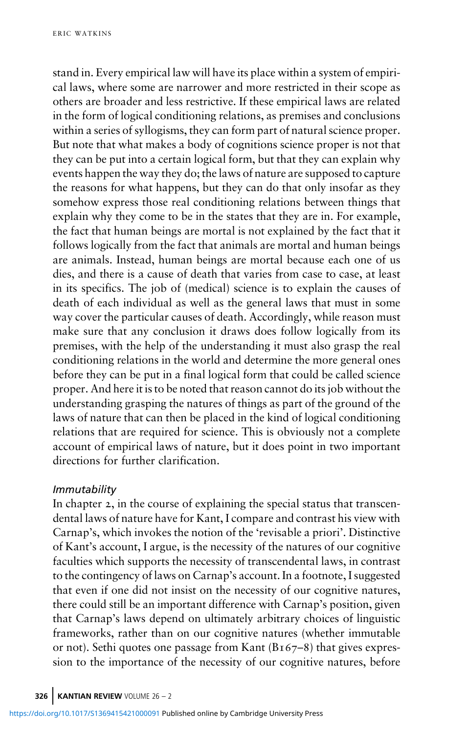stand in. Every empirical law will have its place within a system of empirical laws, where some are narrower and more restricted in their scope as others are broader and less restrictive. If these empirical laws are related in the form of logical conditioning relations, as premises and conclusions within a series of syllogisms, they can form part of natural science proper. But note that what makes a body of cognitions science proper is not that they can be put into a certain logical form, but that they can explain why events happen the way they do; the laws of nature are supposed to capture the reasons for what happens, but they can do that only insofar as they somehow express those real conditioning relations between things that explain why they come to be in the states that they are in. For example, the fact that human beings are mortal is not explained by the fact that it follows logically from the fact that animals are mortal and human beings are animals. Instead, human beings are mortal because each one of us dies, and there is a cause of death that varies from case to case, at least in its specifics. The job of (medical) science is to explain the causes of death of each individual as well as the general laws that must in some way cover the particular causes of death. Accordingly, while reason must make sure that any conclusion it draws does follow logically from its premises, with the help of the understanding it must also grasp the real conditioning relations in the world and determine the more general ones before they can be put in a final logical form that could be called science proper. And here it is to be noted that reason cannot do its job without the understanding grasping the natures of things as part of the ground of the laws of nature that can then be placed in the kind of logical conditioning relations that are required for science. This is obviously not a complete account of empirical laws of nature, but it does point in two important directions for further clarification.

### Immutability

In chapter 2, in the course of explaining the special status that transcendental laws of nature have for Kant, I compare and contrast his view with Carnap's, which invokes the notion of the 'revisable a priori'. Distinctive of Kant's account, I argue, is the necessity of the natures of our cognitive faculties which supports the necessity of transcendental laws, in contrast to the contingency of laws on Carnap's account. In a footnote, I suggested that even if one did not insist on the necessity of our cognitive natures, there could still be an important difference with Carnap's position, given that Carnap's laws depend on ultimately arbitrary choices of linguistic frameworks, rather than on our cognitive natures (whether immutable or not). Sethi quotes one passage from Kant  $(B_167-8)$  that gives expression to the importance of the necessity of our cognitive natures, before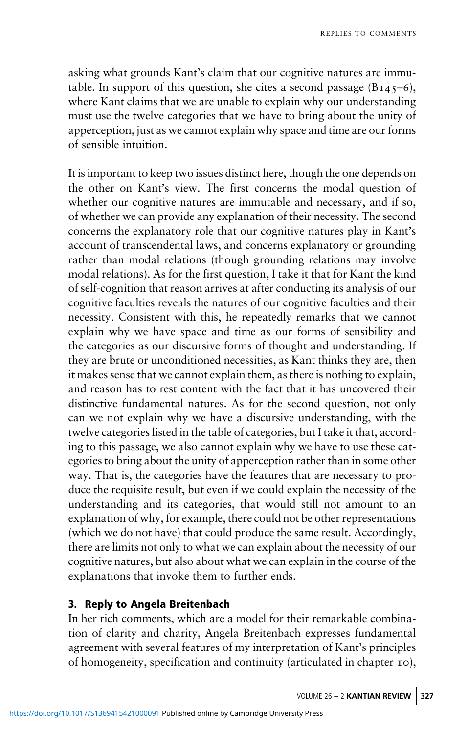asking what grounds Kant's claim that our cognitive natures are immutable. In support of this question, she cites a second passage  $(B_{145}-6)$ , where Kant claims that we are unable to explain why our understanding must use the twelve categories that we have to bring about the unity of apperception, just as we cannot explain why space and time are our forms of sensible intuition.

It is important to keep two issues distinct here, though the one depends on the other on Kant's view. The first concerns the modal question of whether our cognitive natures are immutable and necessary, and if so, of whether we can provide any explanation of their necessity. The second concerns the explanatory role that our cognitive natures play in Kant's account of transcendental laws, and concerns explanatory or grounding rather than modal relations (though grounding relations may involve modal relations). As for the first question, I take it that for Kant the kind of self-cognition that reason arrives at after conducting its analysis of our cognitive faculties reveals the natures of our cognitive faculties and their necessity. Consistent with this, he repeatedly remarks that we cannot explain why we have space and time as our forms of sensibility and the categories as our discursive forms of thought and understanding. If they are brute or unconditioned necessities, as Kant thinks they are, then it makes sense that we cannot explain them, as there is nothing to explain, and reason has to rest content with the fact that it has uncovered their distinctive fundamental natures. As for the second question, not only can we not explain why we have a discursive understanding, with the twelve categories listed in the table of categories, but I take it that, according to this passage, we also cannot explain why we have to use these categories to bring about the unity of apperception rather than in some other way. That is, the categories have the features that are necessary to produce the requisite result, but even if we could explain the necessity of the understanding and its categories, that would still not amount to an explanation of why, for example, there could not be other representations (which we do not have) that could produce the same result. Accordingly, there are limits not only to what we can explain about the necessity of our cognitive natures, but also about what we can explain in the course of the explanations that invoke them to further ends.

In her rich comments, which are a model for their remarkable combination of clarity and charity, Angela Breitenbach expresses fundamental agreement with several features of my interpretation of Kant's principles of homogeneity, specification and continuity (articulated in chapter 10),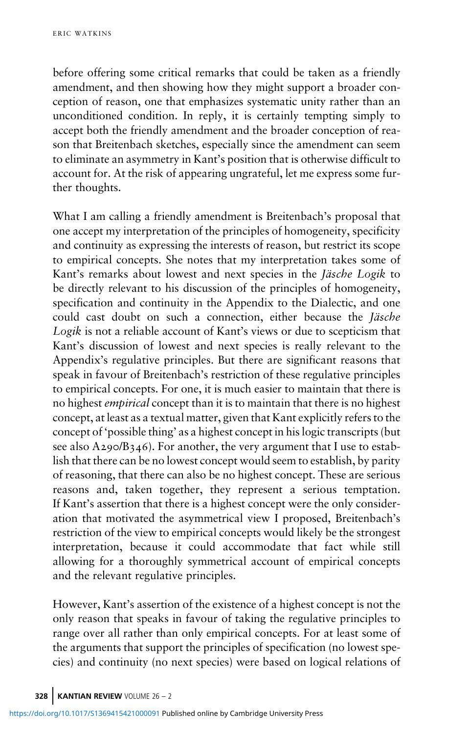before offering some critical remarks that could be taken as a friendly amendment, and then showing how they might support a broader conception of reason, one that emphasizes systematic unity rather than an unconditioned condition. In reply, it is certainly tempting simply to accept both the friendly amendment and the broader conception of reason that Breitenbach sketches, especially since the amendment can seem to eliminate an asymmetry in Kant's position that is otherwise difficult to account for. At the risk of appearing ungrateful, let me express some further thoughts.

What I am calling a friendly amendment is Breitenbach's proposal that one accept my interpretation of the principles of homogeneity, specificity and continuity as expressing the interests of reason, but restrict its scope to empirical concepts. She notes that my interpretation takes some of Kant's remarks about lowest and next species in the Jäsche Logik to be directly relevant to his discussion of the principles of homogeneity, specification and continuity in the Appendix to the Dialectic, and one could cast doubt on such a connection, either because the Jäsche Logik is not a reliable account of Kant's views or due to scepticism that Kant's discussion of lowest and next species is really relevant to the Appendix's regulative principles. But there are significant reasons that speak in favour of Breitenbach's restriction of these regulative principles to empirical concepts. For one, it is much easier to maintain that there is no highest empirical concept than it is to maintain that there is no highest concept, at least as a textual matter, given that Kant explicitly refers to the concept of 'possible thing' as a highest concept in his logic transcripts (but see also  $A_{290}/B_{346}$ . For another, the very argument that I use to establish that there can be no lowest concept would seem to establish, by parity of reasoning, that there can also be no highest concept. These are serious reasons and, taken together, they represent a serious temptation. If Kant's assertion that there is a highest concept were the only consideration that motivated the asymmetrical view I proposed, Breitenbach's restriction of the view to empirical concepts would likely be the strongest interpretation, because it could accommodate that fact while still allowing for a thoroughly symmetrical account of empirical concepts and the relevant regulative principles.

However, Kant's assertion of the existence of a highest concept is not the only reason that speaks in favour of taking the regulative principles to range over all rather than only empirical concepts. For at least some of the arguments that support the principles of specification (no lowest species) and continuity (no next species) were based on logical relations of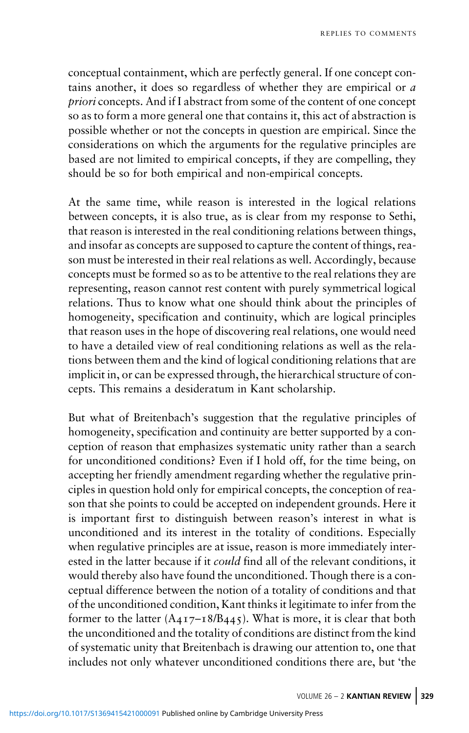conceptual containment, which are perfectly general. If one concept contains another, it does so regardless of whether they are empirical or a priori concepts. And if I abstract from some of the content of one concept so as to form a more general one that contains it, this act of abstraction is possible whether or not the concepts in question are empirical. Since the considerations on which the arguments for the regulative principles are based are not limited to empirical concepts, if they are compelling, they should be so for both empirical and non-empirical concepts.

At the same time, while reason is interested in the logical relations between concepts, it is also true, as is clear from my response to Sethi, that reason is interested in the real conditioning relations between things, and insofar as concepts are supposed to capture the content of things, reason must be interested in their real relations as well. Accordingly, because concepts must be formed so as to be attentive to the real relations they are representing, reason cannot rest content with purely symmetrical logical relations. Thus to know what one should think about the principles of homogeneity, specification and continuity, which are logical principles that reason uses in the hope of discovering real relations, one would need to have a detailed view of real conditioning relations as well as the relations between them and the kind of logical conditioning relations that are implicit in, or can be expressed through, the hierarchical structure of concepts. This remains a desideratum in Kant scholarship.

But what of Breitenbach's suggestion that the regulative principles of homogeneity, specification and continuity are better supported by a conception of reason that emphasizes systematic unity rather than a search for unconditioned conditions? Even if I hold off, for the time being, on accepting her friendly amendment regarding whether the regulative principles in question hold only for empirical concepts, the conception of reason that she points to could be accepted on independent grounds. Here it is important first to distinguish between reason's interest in what is unconditioned and its interest in the totality of conditions. Especially when regulative principles are at issue, reason is more immediately interested in the latter because if it could find all of the relevant conditions, it would thereby also have found the unconditioned. Though there is a conceptual difference between the notion of a totality of conditions and that of the unconditioned condition, Kant thinks it legitimate to infer from the former to the latter  $(A_{417}-18/B_{445})$ . What is more, it is clear that both the unconditioned and the totality of conditions are distinct from the kind of systematic unity that Breitenbach is drawing our attention to, one that includes not only whatever unconditioned conditions there are, but 'the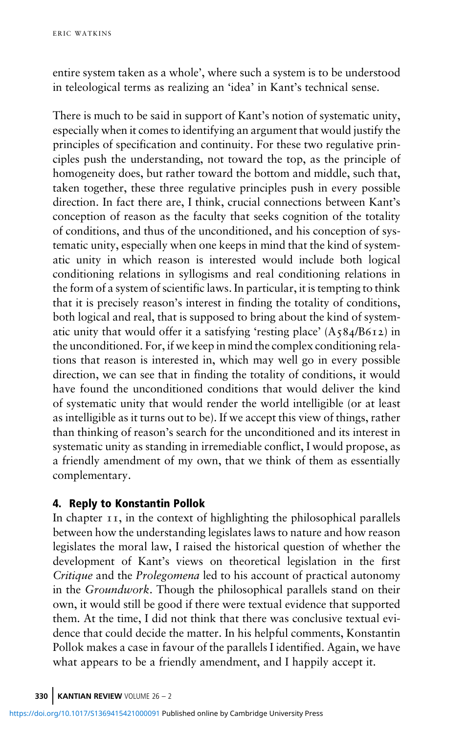entire system taken as a whole', where such a system is to be understood in teleological terms as realizing an 'idea' in Kant's technical sense.

There is much to be said in support of Kant's notion of systematic unity, especially when it comes to identifying an argument that would justify the principles of specification and continuity. For these two regulative principles push the understanding, not toward the top, as the principle of homogeneity does, but rather toward the bottom and middle, such that, taken together, these three regulative principles push in every possible direction. In fact there are, I think, crucial connections between Kant's conception of reason as the faculty that seeks cognition of the totality of conditions, and thus of the unconditioned, and his conception of systematic unity, especially when one keeps in mind that the kind of systematic unity in which reason is interested would include both logical conditioning relations in syllogisms and real conditioning relations in the form of a system of scientific laws. In particular, it is tempting to think that it is precisely reason's interest in finding the totality of conditions, both logical and real, that is supposed to bring about the kind of systematic unity that would offer it a satisfying 'resting place'  $(A_584/B612)$  in the unconditioned. For, if we keep in mind the complex conditioning relations that reason is interested in, which may well go in every possible direction, we can see that in finding the totality of conditions, it would have found the unconditioned conditions that would deliver the kind of systematic unity that would render the world intelligible (or at least as intelligible as it turns out to be). If we accept this view of things, rather than thinking of reason's search for the unconditioned and its interest in systematic unity as standing in irremediable conflict, I would propose, as a friendly amendment of my own, that we think of them as essentially complementary.

In chapter  $I$   $I$ , in the context of highlighting the philosophical parallels between how the understanding legislates laws to nature and how reason legislates the moral law, I raised the historical question of whether the development of Kant's views on theoretical legislation in the first Critique and the Prolegomena led to his account of practical autonomy in the Groundwork. Though the philosophical parallels stand on their own, it would still be good if there were textual evidence that supported them. At the time, I did not think that there was conclusive textual evidence that could decide the matter. In his helpful comments, Konstantin Pollok makes a case in favour of the parallels I identified. Again, we have what appears to be a friendly amendment, and I happily accept it.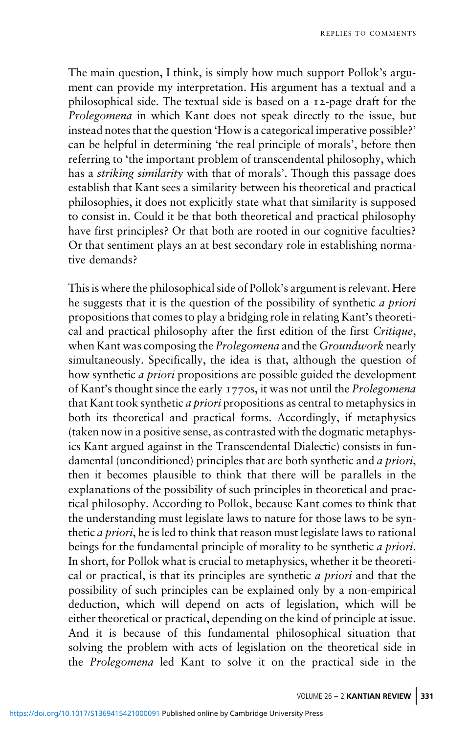The main question, I think, is simply how much support Pollok's argument can provide my interpretation. His argument has a textual and a philosophical side. The textual side is based on a  $_1$ 2-page draft for the Prolegomena in which Kant does not speak directly to the issue, but instead notes that the question 'How is a categorical imperative possible?' can be helpful in determining 'the real principle of morals', before then referring to 'the important problem of transcendental philosophy, which has a *striking similarity* with that of morals'. Though this passage does establish that Kant sees a similarity between his theoretical and practical philosophies, it does not explicitly state what that similarity is supposed to consist in. Could it be that both theoretical and practical philosophy have first principles? Or that both are rooted in our cognitive faculties? Or that sentiment plays an at best secondary role in establishing normative demands?

This is where the philosophical side of Pollok's argument is relevant. Here he suggests that it is the question of the possibility of synthetic a priori propositions that comes to play a bridging role in relating Kant's theoretical and practical philosophy after the first edition of the first Critique, when Kant was composing the *Prolegomena* and the *Groundwork* nearly simultaneously. Specifically, the idea is that, although the question of how synthetic *a priori* propositions are possible guided the development of Kant's thought since the early 1770s, it was not until the *Prolegomena* that Kant took synthetic a priori propositions as central to metaphysics in both its theoretical and practical forms. Accordingly, if metaphysics (taken now in a positive sense, as contrasted with the dogmatic metaphysics Kant argued against in the Transcendental Dialectic) consists in fundamental (unconditioned) principles that are both synthetic and *a priori*, then it becomes plausible to think that there will be parallels in the explanations of the possibility of such principles in theoretical and practical philosophy. According to Pollok, because Kant comes to think that the understanding must legislate laws to nature for those laws to be synthetic *a priori*, he is led to think that reason must legislate laws to rational beings for the fundamental principle of morality to be synthetic *a priori*. In short, for Pollok what is crucial to metaphysics, whether it be theoretical or practical, is that its principles are synthetic a priori and that the possibility of such principles can be explained only by a non-empirical deduction, which will depend on acts of legislation, which will be either theoretical or practical, depending on the kind of principle at issue. And it is because of this fundamental philosophical situation that solving the problem with acts of legislation on the theoretical side in the Prolegomena led Kant to solve it on the practical side in the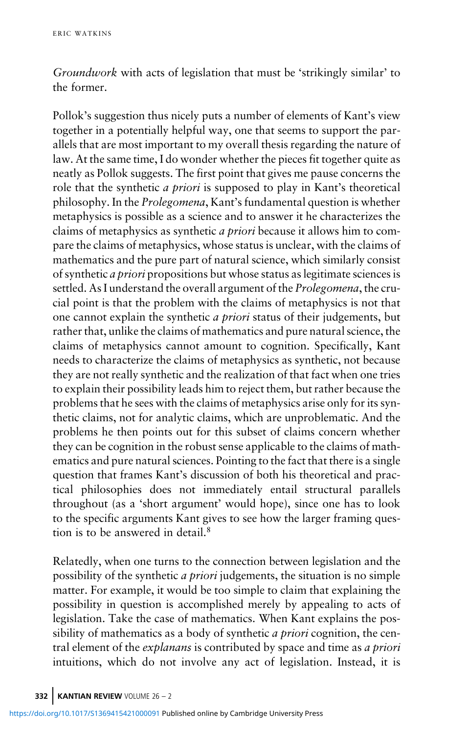Groundwork with acts of legislation that must be 'strikingly similar' to the former.

Pollok's suggestion thus nicely puts a number of elements of Kant's view together in a potentially helpful way, one that seems to support the parallels that are most important to my overall thesis regarding the nature of law. At the same time, I do wonder whether the pieces fit together quite as neatly as Pollok suggests. The first point that gives me pause concerns the role that the synthetic a priori is supposed to play in Kant's theoretical philosophy. In the Prolegomena, Kant's fundamental question is whether metaphysics is possible as a science and to answer it he characterizes the claims of metaphysics as synthetic a priori because it allows him to compare the claims of metaphysics, whose status is unclear, with the claims of mathematics and the pure part of natural science, which similarly consist of synthetic a priori propositions but whose status as legitimate sciences is settled. As I understand the overall argument of the *Prolegomena*, the crucial point is that the problem with the claims of metaphysics is not that one cannot explain the synthetic a priori status of their judgements, but rather that, unlike the claims of mathematics and pure natural science, the claims of metaphysics cannot amount to cognition. Specifically, Kant needs to characterize the claims of metaphysics as synthetic, not because they are not really synthetic and the realization of that fact when one tries to explain their possibility leads him to reject them, but rather because the problems that he sees with the claims of metaphysics arise only for its synthetic claims, not for analytic claims, which are unproblematic. And the problems he then points out for this subset of claims concern whether they can be cognition in the robust sense applicable to the claims of mathematics and pure natural sciences. Pointing to the fact that there is a single question that frames Kant's discussion of both his theoretical and practical philosophies does not immediately entail structural parallels throughout (as a 'short argument' would hope), since one has to look to the specific arguments Kant gives to see how the larger framing question is to be answered in detail.

Relatedly, when one turns to the connection between legislation and the possibility of the synthetic a priori judgements, the situation is no simple matter. For example, it would be too simple to claim that explaining the possibility in question is accomplished merely by appealing to acts of legislation. Take the case of mathematics. When Kant explains the possibility of mathematics as a body of synthetic *a priori* cognition, the central element of the *explanans* is contributed by space and time as *a priori* intuitions, which do not involve any act of legislation. Instead, it is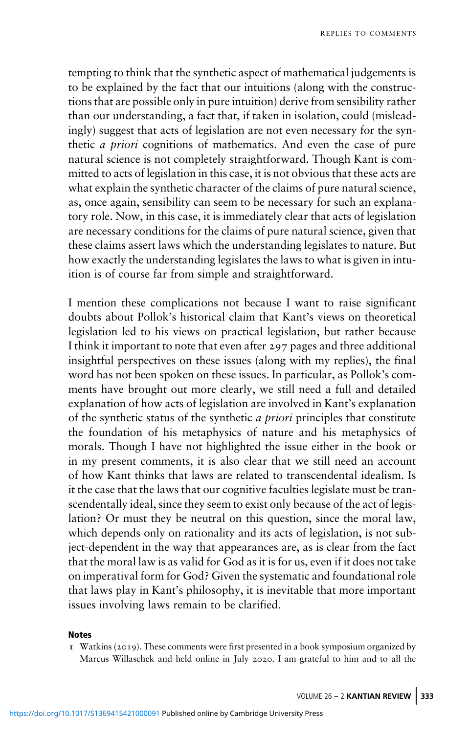tempting to think that the synthetic aspect of mathematical judgements is to be explained by the fact that our intuitions (along with the constructions that are possible only in pure intuition) derive from sensibility rather than our understanding, a fact that, if taken in isolation, could (misleadingly) suggest that acts of legislation are not even necessary for the synthetic a priori cognitions of mathematics. And even the case of pure natural science is not completely straightforward. Though Kant is committed to acts of legislation in this case, it is not obvious that these acts are what explain the synthetic character of the claims of pure natural science, as, once again, sensibility can seem to be necessary for such an explanatory role. Now, in this case, it is immediately clear that acts of legislation are necessary conditions for the claims of pure natural science, given that these claims assert laws which the understanding legislates to nature. But how exactly the understanding legislates the laws to what is given in intuition is of course far from simple and straightforward.

I mention these complications not because I want to raise significant doubts about Pollok's historical claim that Kant's views on theoretical legislation led to his views on practical legislation, but rather because I think it important to note that even after 297 pages and three additional insightful perspectives on these issues (along with my replies), the final word has not been spoken on these issues. In particular, as Pollok's comments have brought out more clearly, we still need a full and detailed explanation of how acts of legislation are involved in Kant's explanation of the synthetic status of the synthetic a priori principles that constitute the foundation of his metaphysics of nature and his metaphysics of morals. Though I have not highlighted the issue either in the book or in my present comments, it is also clear that we still need an account of how Kant thinks that laws are related to transcendental idealism. Is it the case that the laws that our cognitive faculties legislate must be transcendentally ideal, since they seem to exist only because of the act of legislation? Or must they be neutral on this question, since the moral law, which depends only on rationality and its acts of legislation, is not subject-dependent in the way that appearances are, as is clear from the fact that the moral law is as valid for God as it is for us, even if it does not take on imperatival form for God? Given the systematic and foundational role that laws play in Kant's philosophy, it is inevitable that more important issues involving laws remain to be clarified.

### **Notes**

I Watkins (2019). These comments were first presented in a book symposium organized by Marcus Willaschek and held online in July 2020. I am grateful to him and to all the